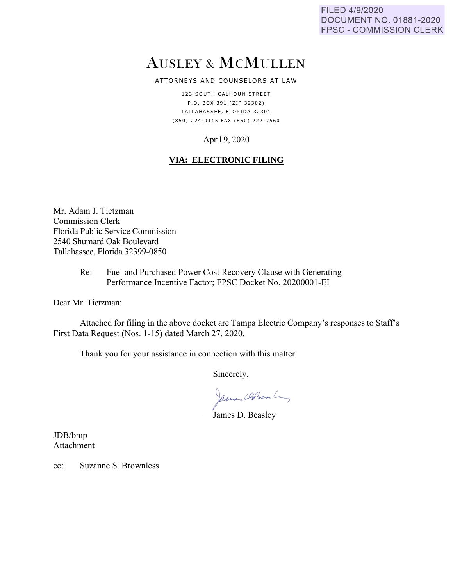FILED 4/9/2020 **DOCUMENT NO. 01881-2020 FPSC - COMMISSION CLERK** 

# AUSLEY & MCMULLEN

ATTORNEYS AND COUNSELORS AT LAW

123 SOUTH CALHOUN STREET P.O. BOX 391 (ZIP 32302) TALLAHASSEE, FLORIDA 32301 (850) 224-9115 FAX (850) 222-7560

# April 9, 2020

# **VIA: ELECTRONIC FILING**

Mr. Adam J. Tietzman Commission Clerk Florida Public Service Commission 2540 Shumard Oak Boulevard Tallahassee, Florida 32399-0850

#### Re: Fuel and Purchased Power Cost Recovery Clause with Generating Performance Incentive Factor; FPSC Docket No. 20200001-EI

Dear Mr. Tietzman:

Attached for filing in the above docket are Tampa Electric Company's responses to Staff's First Data Request (Nos. 1-15) dated March 27, 2020.

Thank you for your assistance in connection with this matter.

Sincerely,

James Dobrenley

James D. Beasley

JDB/bmp Attachment

cc: Suzanne S. Brownless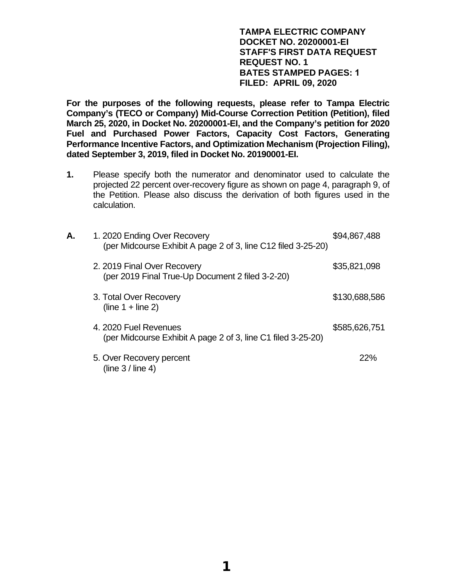#### **TAMPA ELECTRIC COMPANY DOCKET NO. 20200001-EI STAFF'S FIRST DATA REQUEST REQUEST NO. 1 BATES STAMPED PAGES: 1 FILED: APRIL 09, 2020**

**For the purposes of the following requests, please refer to Tampa Electric Company's (TECO or Company) Mid-Course Correction Petition (Petition), filed March 25, 2020, in Docket No. 20200001-EI, and the Company's petition for 2020 Fuel and Purchased Power Factors, Capacity Cost Factors, Generating Performance Incentive Factors, and Optimization Mechanism (Projection Filing), dated September 3, 2019, filed in Docket No. 20190001-EI.** 

**1.** Please specify both the numerator and denominator used to calculate the projected 22 percent over-recovery figure as shown on page 4, paragraph 9, of the Petition. Please also discuss the derivation of both figures used in the calculation.

| А. | 1. 2020 Ending Over Recovery<br>(per Midcourse Exhibit A page 2 of 3, line C12 filed 3-25-20) | \$94,867,488  |
|----|-----------------------------------------------------------------------------------------------|---------------|
|    | 2. 2019 Final Over Recovery<br>(per 2019 Final True-Up Document 2 filed 3-2-20)               | \$35,821,098  |
|    | 3. Total Over Recovery<br>$(line 1 + line 2)$                                                 | \$130,688,586 |
|    | 4. 2020 Fuel Revenues<br>(per Midcourse Exhibit A page 2 of 3, line C1 filed 3-25-20)         | \$585,626,751 |
|    | 5. Over Recovery percent<br>(line $3/$ line 4)                                                | 22%           |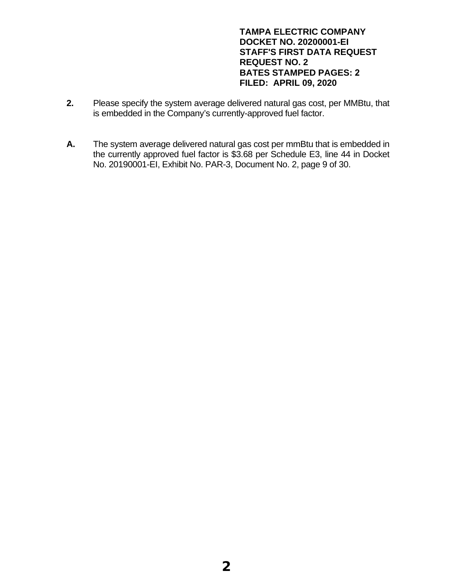#### **TAMPA ELECTRIC COMPANY DOCKET NO. 20200001-EI STAFF'S FIRST DATA REQUEST REQUEST NO. 2 BATES STAMPED PAGES: 2 FILED: APRIL 09, 2020**

- **2.** Please specify the system average delivered natural gas cost, per MMBtu, that is embedded in the Company's currently-approved fuel factor.
- **A.** The system average delivered natural gas cost per mmBtu that is embedded in the currently approved fuel factor is \$3.68 per Schedule E3, line 44 in Docket No. 20190001-EI, Exhibit No. PAR-3, Document No. 2, page 9 of 30.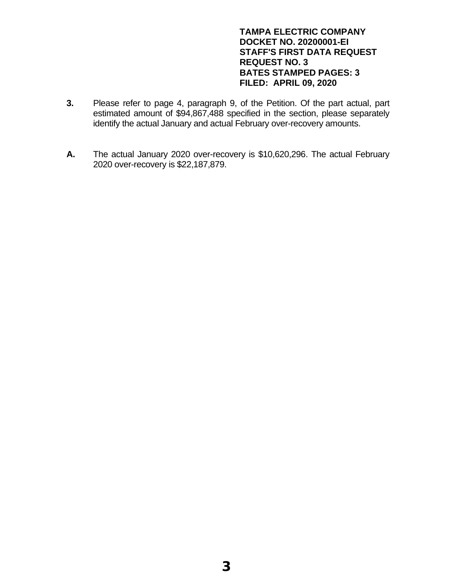#### **TAMPA ELECTRIC COMPANY DOCKET NO. 20200001-EI STAFF'S FIRST DATA REQUEST REQUEST NO. 3 BATES STAMPED PAGES: 3 FILED: APRIL 09, 2020**

- **3.** Please refer to page 4, paragraph 9, of the Petition. Of the part actual, part estimated amount of \$94,867,488 specified in the section, please separately identify the actual January and actual February over-recovery amounts.
- **A.** The actual January 2020 over-recovery is \$10,620,296. The actual February 2020 over-recovery is \$22,187,879.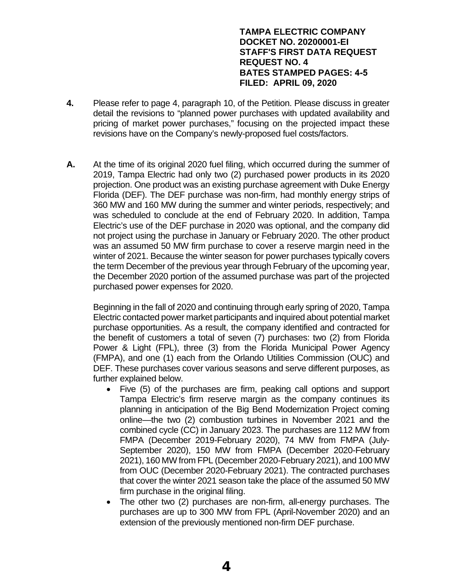#### **TAMPA ELECTRIC COMPANY DOCKET NO. 20200001-EI STAFF'S FIRST DATA REQUEST REQUEST NO. 4 BATES STAMPED PAGES: 4-5 FILED: APRIL 09, 2020**

- **4.** Please refer to page 4, paragraph 10, of the Petition. Please discuss in greater detail the revisions to "planned power purchases with updated availability and pricing of market power purchases," focusing on the projected impact these revisions have on the Company's newly-proposed fuel costs/factors.
- **A.** At the time of its original 2020 fuel filing, which occurred during the summer of 2019, Tampa Electric had only two (2) purchased power products in its 2020 projection. One product was an existing purchase agreement with Duke Energy Florida (DEF). The DEF purchase was non-firm, had monthly energy strips of 360 MW and 160 MW during the summer and winter periods, respectively; and was scheduled to conclude at the end of February 2020. In addition, Tampa Electric's use of the DEF purchase in 2020 was optional, and the company did not project using the purchase in January or February 2020. The other product was an assumed 50 MW firm purchase to cover a reserve margin need in the winter of 2021. Because the winter season for power purchases typically covers the term December of the previous year through February of the upcoming year, the December 2020 portion of the assumed purchase was part of the projected purchased power expenses for 2020.

Beginning in the fall of 2020 and continuing through early spring of 2020, Tampa Electric contacted power market participants and inquired about potential market purchase opportunities. As a result, the company identified and contracted for the benefit of customers a total of seven (7) purchases: two (2) from Florida Power & Light (FPL), three (3) from the Florida Municipal Power Agency (FMPA), and one (1) each from the Orlando Utilities Commission (OUC) and DEF. These purchases cover various seasons and serve different purposes, as further explained below.

- Five (5) of the purchases are firm, peaking call options and support Tampa Electric's firm reserve margin as the company continues its planning in anticipation of the Big Bend Modernization Project coming online—the two (2) combustion turbines in November 2021 and the combined cycle (CC) in January 2023. The purchases are 112 MW from FMPA (December 2019-February 2020), 74 MW from FMPA (July-September 2020), 150 MW from FMPA (December 2020-February 2021), 160 MW from FPL (December 2020-February 2021), and 100 MW from OUC (December 2020-February 2021). The contracted purchases that cover the winter 2021 season take the place of the assumed 50 MW firm purchase in the original filing.
- The other two (2) purchases are non-firm, all-energy purchases. The purchases are up to 300 MW from FPL (April-November 2020) and an extension of the previously mentioned non-firm DEF purchase.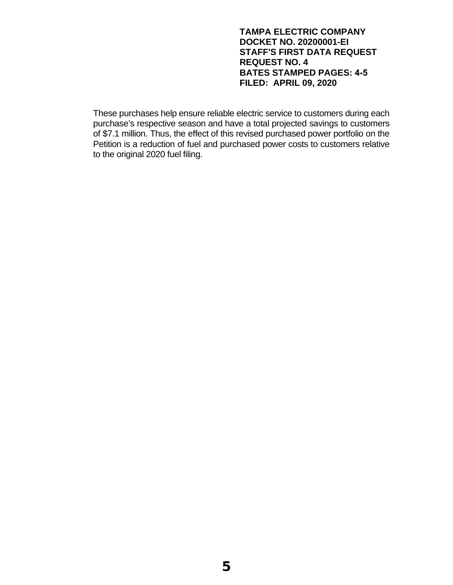#### **TAMPA ELECTRIC COMPANY DOCKET NO. 20200001-EI STAFF'S FIRST DATA REQUEST REQUEST NO. 4 BATES STAMPED PAGES: 4-5 FILED: APRIL 09, 2020**

These purchases help ensure reliable electric service to customers during each purchase's respective season and have a total projected savings to customers of \$7.1 million. Thus, the effect of this revised purchased power portfolio on the Petition is a reduction of fuel and purchased power costs to customers relative to the original 2020 fuel filing.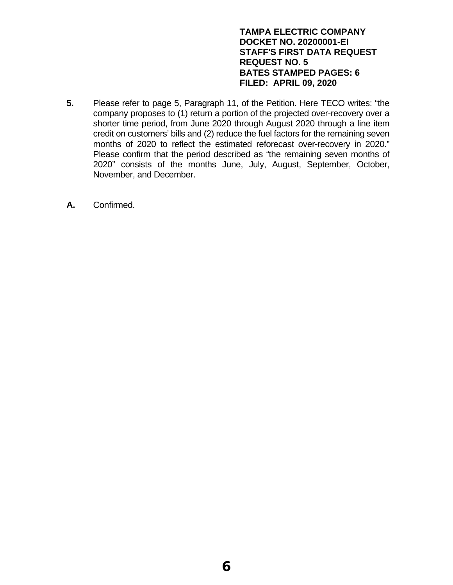#### **TAMPA ELECTRIC COMPANY DOCKET NO. 20200001-EI STAFF'S FIRST DATA REQUEST REQUEST NO. 5 BATES STAMPED PAGES: 6 FILED: APRIL 09, 2020**

- **5.** Please refer to page 5, Paragraph 11, of the Petition. Here TECO writes: "the company proposes to (1) return a portion of the projected over-recovery over a shorter time period, from June 2020 through August 2020 through a line item credit on customers' bills and (2) reduce the fuel factors for the remaining seven months of 2020 to reflect the estimated reforecast over-recovery in 2020." Please confirm that the period described as "the remaining seven months of 2020" consists of the months June, July, August, September, October, November, and December.
- **A.** Confirmed.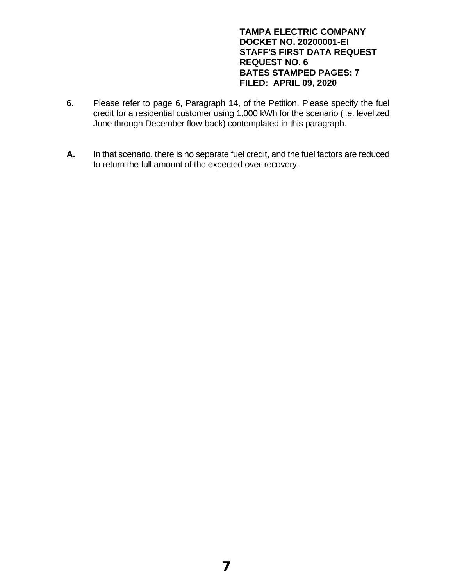#### **TAMPA ELECTRIC COMPANY DOCKET NO. 20200001-EI STAFF'S FIRST DATA REQUEST REQUEST NO. 6 BATES STAMPED PAGES: 7 FILED: APRIL 09, 2020**

- **6.** Please refer to page 6, Paragraph 14, of the Petition. Please specify the fuel credit for a residential customer using 1,000 kWh for the scenario (i.e. levelized June through December flow-back) contemplated in this paragraph.
- **A.** In that scenario, there is no separate fuel credit, and the fuel factors are reduced to return the full amount of the expected over-recovery.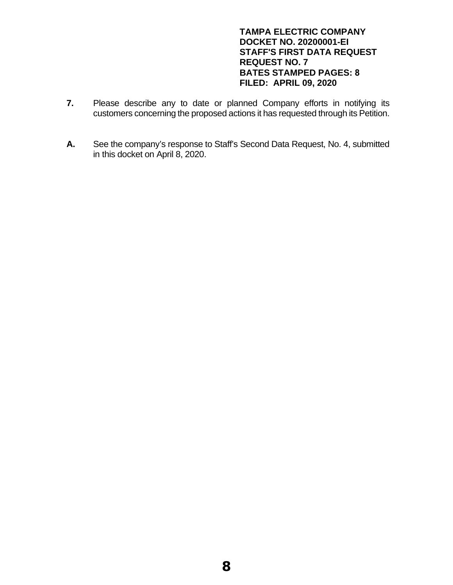#### **TAMPA ELECTRIC COMPANY DOCKET NO. 20200001-EI STAFF'S FIRST DATA REQUEST REQUEST NO. 7 BATES STAMPED PAGES: 8 FILED: APRIL 09, 2020**

- **7.** Please describe any to date or planned Company efforts in notifying its customers concerning the proposed actions it has requested through its Petition.
- **A.** See the company's response to Staff's Second Data Request, No. 4, submitted in this docket on April 8, 2020.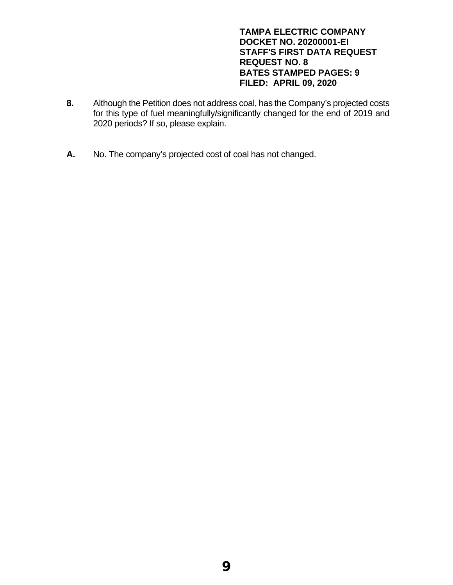#### **TAMPA ELECTRIC COMPANY DOCKET NO. 20200001-EI STAFF'S FIRST DATA REQUEST REQUEST NO. 8 BATES STAMPED PAGES: 9 FILED: APRIL 09, 2020**

- **8.** Although the Petition does not address coal, has the Company's projected costs for this type of fuel meaningfully/significantly changed for the end of 2019 and 2020 periods? If so, please explain.
- **A.** No. The company's projected cost of coal has not changed.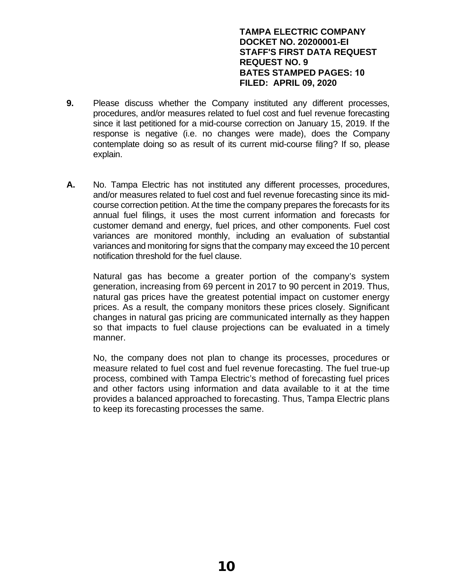#### **TAMPA ELECTRIC COMPANY DOCKET NO. 20200001-EI STAFF'S FIRST DATA REQUEST REQUEST NO. 9 BATES STAMPED PAGES: 10 FILED: APRIL 09, 2020**

- **9.** Please discuss whether the Company instituted any different processes, procedures, and/or measures related to fuel cost and fuel revenue forecasting since it last petitioned for a mid-course correction on January 15, 2019. If the response is negative (i.e. no changes were made), does the Company contemplate doing so as result of its current mid-course filing? If so, please explain.
- **A.** No. Tampa Electric has not instituted any different processes, procedures, and/or measures related to fuel cost and fuel revenue forecasting since its midcourse correction petition. At the time the company prepares the forecasts for its annual fuel filings, it uses the most current information and forecasts for customer demand and energy, fuel prices, and other components. Fuel cost variances are monitored monthly, including an evaluation of substantial variances and monitoring for signs that the company may exceed the 10 percent notification threshold for the fuel clause.

Natural gas has become a greater portion of the company's system generation, increasing from 69 percent in 2017 to 90 percent in 2019. Thus, natural gas prices have the greatest potential impact on customer energy prices. As a result, the company monitors these prices closely. Significant changes in natural gas pricing are communicated internally as they happen so that impacts to fuel clause projections can be evaluated in a timely manner.

No, the company does not plan to change its processes, procedures or measure related to fuel cost and fuel revenue forecasting. The fuel true-up process, combined with Tampa Electric's method of forecasting fuel prices and other factors using information and data available to it at the time provides a balanced approached to forecasting. Thus, Tampa Electric plans to keep its forecasting processes the same.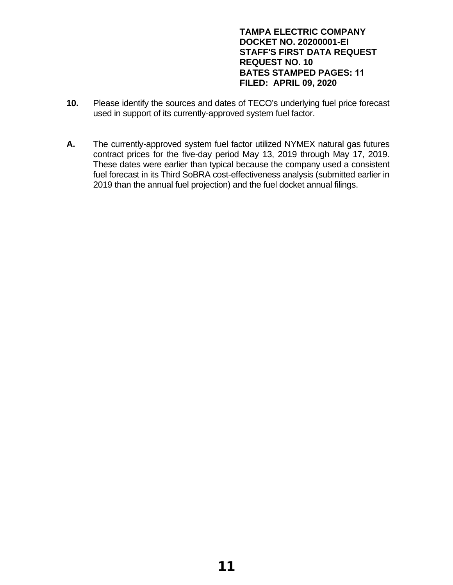#### **TAMPA ELECTRIC COMPANY DOCKET NO. 20200001-EI STAFF'S FIRST DATA REQUEST REQUEST NO. 10 BATES STAMPED PAGES: 11 FILED: APRIL 09, 2020**

- **10.** Please identify the sources and dates of TECO's underlying fuel price forecast used in support of its currently-approved system fuel factor.
- **A.** The currently-approved system fuel factor utilized NYMEX natural gas futures contract prices for the five-day period May 13, 2019 through May 17, 2019. These dates were earlier than typical because the company used a consistent fuel forecast in its Third SoBRA cost-effectiveness analysis (submitted earlier in 2019 than the annual fuel projection) and the fuel docket annual filings.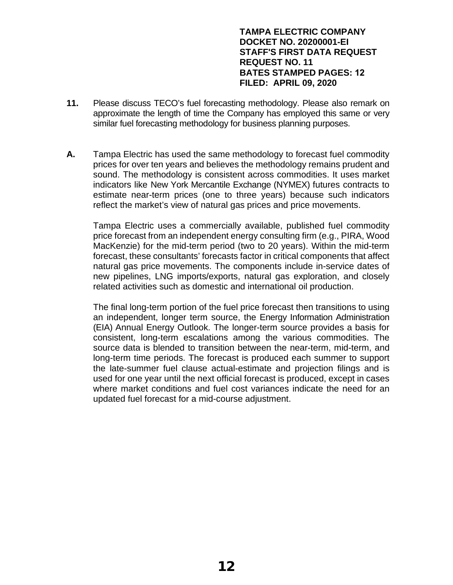#### **TAMPA ELECTRIC COMPANY DOCKET NO. 20200001-EI STAFF'S FIRST DATA REQUEST REQUEST NO. 11 BATES STAMPED PAGES: 12 FILED: APRIL 09, 2020**

- **11.** Please discuss TECO's fuel forecasting methodology. Please also remark on approximate the length of time the Company has employed this same or very similar fuel forecasting methodology for business planning purposes.
- **A.** Tampa Electric has used the same methodology to forecast fuel commodity prices for over ten years and believes the methodology remains prudent and sound. The methodology is consistent across commodities. It uses market indicators like New York Mercantile Exchange (NYMEX) futures contracts to estimate near-term prices (one to three years) because such indicators reflect the market's view of natural gas prices and price movements.

Tampa Electric uses a commercially available, published fuel commodity price forecast from an independent energy consulting firm (e.g., PIRA, Wood MacKenzie) for the mid-term period (two to 20 years). Within the mid-term forecast, these consultants' forecasts factor in critical components that affect natural gas price movements. The components include in-service dates of new pipelines, LNG imports/exports, natural gas exploration, and closely related activities such as domestic and international oil production.

The final long-term portion of the fuel price forecast then transitions to using an independent, longer term source, the Energy Information Administration (EIA) Annual Energy Outlook. The longer-term source provides a basis for consistent, long-term escalations among the various commodities. The source data is blended to transition between the near-term, mid-term, and long-term time periods. The forecast is produced each summer to support the late-summer fuel clause actual-estimate and projection filings and is used for one year until the next official forecast is produced, except in cases where market conditions and fuel cost variances indicate the need for an updated fuel forecast for a mid-course adjustment.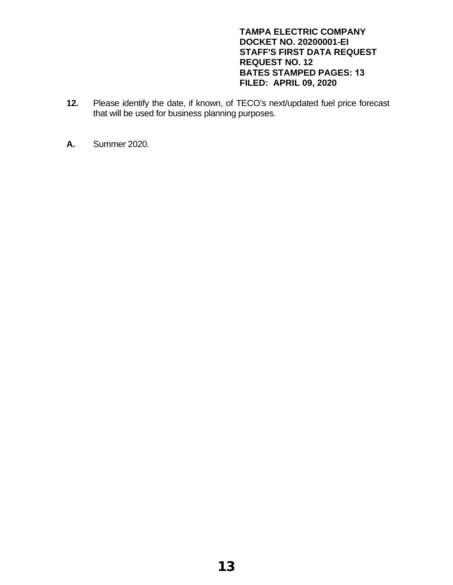#### **TAMPA ELECTRIC COMPANY DOCKET NO. 20200001-EI STAFF'S FIRST DATA REQUEST REQUEST NO. 12 BATES STAMPED PAGES: 13 FILED: APRIL 09, 2020**

- **12.** Please identify the date, if known, of TECO's next/updated fuel price forecast that will be used for business planning purposes.
- **A.** Summer 2020.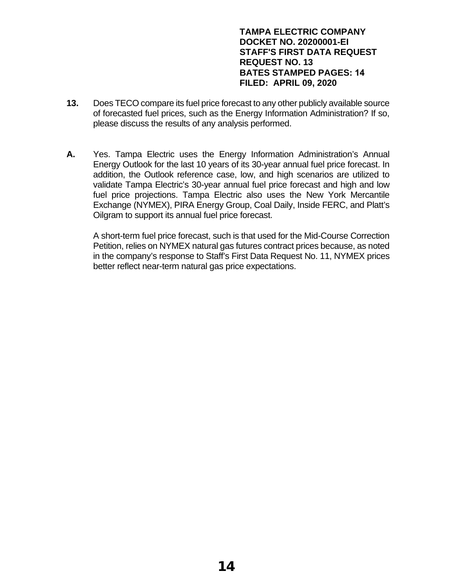#### **TAMPA ELECTRIC COMPANY DOCKET NO. 20200001-EI STAFF'S FIRST DATA REQUEST REQUEST NO. 13 BATES STAMPED PAGES: 14 FILED: APRIL 09, 2020**

- **13.** Does TECO compare its fuel price forecast to any other publicly available source of forecasted fuel prices, such as the Energy Information Administration? If so, please discuss the results of any analysis performed.
- **A.** Yes. Tampa Electric uses the Energy Information Administration's Annual Energy Outlook for the last 10 years of its 30-year annual fuel price forecast. In addition, the Outlook reference case, low, and high scenarios are utilized to validate Tampa Electric's 30-year annual fuel price forecast and high and low fuel price projections. Tampa Electric also uses the New York Mercantile Exchange (NYMEX), PIRA Energy Group, Coal Daily, Inside FERC, and Platt's Oilgram to support its annual fuel price forecast.

A short-term fuel price forecast, such is that used for the Mid-Course Correction Petition, relies on NYMEX natural gas futures contract prices because, as noted in the company's response to Staff's First Data Request No. 11, NYMEX prices better reflect near-term natural gas price expectations.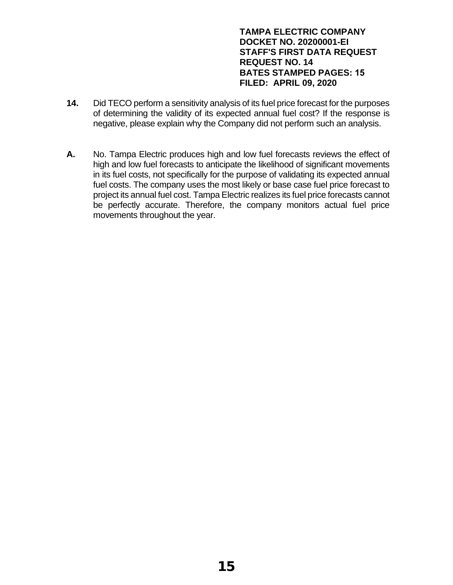#### **TAMPA ELECTRIC COMPANY DOCKET NO. 20200001-EI STAFF'S FIRST DATA REQUEST REQUEST NO. 14 BATES STAMPED PAGES: 15 FILED: APRIL 09, 2020**

- **14.** Did TECO perform a sensitivity analysis of its fuel price forecast for the purposes of determining the validity of its expected annual fuel cost? If the response is negative, please explain why the Company did not perform such an analysis.
- **A.** No. Tampa Electric produces high and low fuel forecasts reviews the effect of high and low fuel forecasts to anticipate the likelihood of significant movements in its fuel costs, not specifically for the purpose of validating its expected annual fuel costs. The company uses the most likely or base case fuel price forecast to project its annual fuel cost. Tampa Electric realizes its fuel price forecasts cannot be perfectly accurate. Therefore, the company monitors actual fuel price movements throughout the year.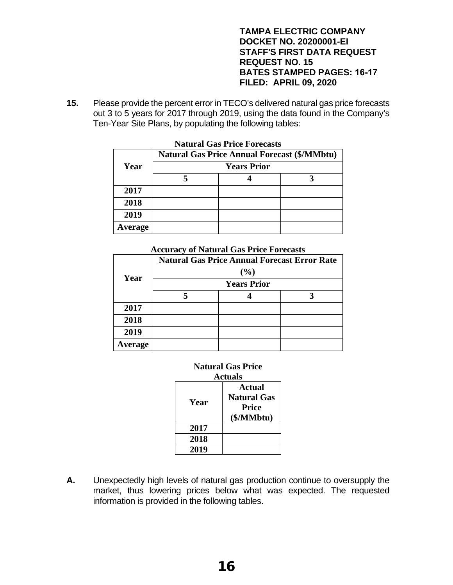#### **TAMPA ELECTRIC COMPANY DOCKET NO. 20200001-EI STAFF'S FIRST DATA REQUEST REQUEST NO. 15 BATES STAMPED PAGES: 16-17 FILED: APRIL 09, 2020**

**15.** Please provide the percent error in TECO's delivered natural gas price forecasts out 3 to 5 years for 2017 through 2019, using the data found in the Company's Ten-Year Site Plans, by populating the following tables:

| rada ar sas riigi roomaas |  |                                                     |  |
|---------------------------|--|-----------------------------------------------------|--|
|                           |  | <b>Natural Gas Price Annual Forecast (\$/MMbtu)</b> |  |
| Year                      |  |                                                     |  |
|                           |  |                                                     |  |
| 2017                      |  |                                                     |  |
| 2018                      |  |                                                     |  |
| 2019                      |  |                                                     |  |
| <b>Average</b>            |  |                                                     |  |

## **Natural Gas Price Forecasts**

#### **Accuracy of Natural Gas Price Forecasts**

|         |                    | <b>Natural Gas Price Annual Forecast Error Rate</b> |  |  |
|---------|--------------------|-----------------------------------------------------|--|--|
| Year    | (%)                |                                                     |  |  |
|         | <b>Years Prior</b> |                                                     |  |  |
|         |                    |                                                     |  |  |
| 2017    |                    |                                                     |  |  |
| 2018    |                    |                                                     |  |  |
| 2019    |                    |                                                     |  |  |
| Average |                    |                                                     |  |  |

# **Natural Gas Price**

| <b>Actuals</b> |                                                                   |  |
|----------------|-------------------------------------------------------------------|--|
| Year           | <b>Actual</b><br><b>Natural Gas</b><br><b>Price</b><br>(\$/MMbtu) |  |
| 2017           |                                                                   |  |
| 2018           |                                                                   |  |
| 2019           |                                                                   |  |

**A.** Unexpectedly high levels of natural gas production continue to oversupply the market, thus lowering prices below what was expected. The requested information is provided in the following tables.